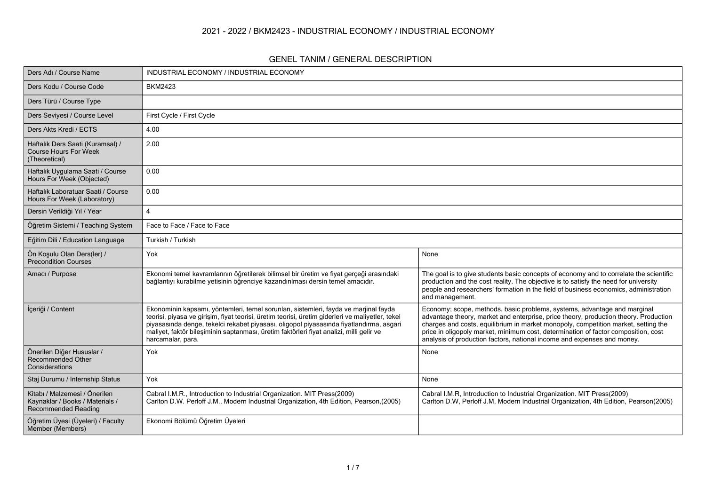### **2021 - 2022 / BKM2423 - INDUSTRIAL ECONOMY / INDUSTRIAL ECONOMY**

#### **GENEL TANIM / GENERAL DESCRIPTION**

| Ders Adı / Course Name                                                                  | INDUSTRIAL ECONOMY / INDUSTRIAL ECONOMY                                                                                                                                                                                                                                                                                                                                                             |                                                                                                                                                                                                                                                                                                                                                                                                                         |
|-----------------------------------------------------------------------------------------|-----------------------------------------------------------------------------------------------------------------------------------------------------------------------------------------------------------------------------------------------------------------------------------------------------------------------------------------------------------------------------------------------------|-------------------------------------------------------------------------------------------------------------------------------------------------------------------------------------------------------------------------------------------------------------------------------------------------------------------------------------------------------------------------------------------------------------------------|
| Ders Kodu / Course Code                                                                 | <b>BKM2423</b>                                                                                                                                                                                                                                                                                                                                                                                      |                                                                                                                                                                                                                                                                                                                                                                                                                         |
| Ders Türü / Course Type                                                                 |                                                                                                                                                                                                                                                                                                                                                                                                     |                                                                                                                                                                                                                                                                                                                                                                                                                         |
| Ders Seviyesi / Course Level                                                            | First Cycle / First Cycle                                                                                                                                                                                                                                                                                                                                                                           |                                                                                                                                                                                                                                                                                                                                                                                                                         |
| Ders Akts Kredi / ECTS                                                                  | 4.00                                                                                                                                                                                                                                                                                                                                                                                                |                                                                                                                                                                                                                                                                                                                                                                                                                         |
| Haftalık Ders Saati (Kuramsal) /<br><b>Course Hours For Week</b><br>(Theoretical)       | 2.00                                                                                                                                                                                                                                                                                                                                                                                                |                                                                                                                                                                                                                                                                                                                                                                                                                         |
| Haftalık Uygulama Saati / Course<br>Hours For Week (Objected)                           | 0.00                                                                                                                                                                                                                                                                                                                                                                                                |                                                                                                                                                                                                                                                                                                                                                                                                                         |
| Haftalık Laboratuar Saati / Course<br>Hours For Week (Laboratory)                       | 0.00                                                                                                                                                                                                                                                                                                                                                                                                |                                                                                                                                                                                                                                                                                                                                                                                                                         |
| Dersin Verildiği Yıl / Year                                                             | $\boldsymbol{\Delta}$                                                                                                                                                                                                                                                                                                                                                                               |                                                                                                                                                                                                                                                                                                                                                                                                                         |
| Öğretim Sistemi / Teaching System                                                       | Face to Face / Face to Face                                                                                                                                                                                                                                                                                                                                                                         |                                                                                                                                                                                                                                                                                                                                                                                                                         |
| Eğitim Dili / Education Language                                                        | Turkish / Turkish                                                                                                                                                                                                                                                                                                                                                                                   |                                                                                                                                                                                                                                                                                                                                                                                                                         |
| Ön Koşulu Olan Ders(ler) /<br>Precondition Courses                                      | Yok                                                                                                                                                                                                                                                                                                                                                                                                 | None                                                                                                                                                                                                                                                                                                                                                                                                                    |
| Amacı / Purpose                                                                         | Ekonomi temel kavramlarının öğretilerek bilimsel bir üretim ve fiyat gerçeği arasındaki<br>bağlantıyı kurabilme yetisinin öğrenciye kazandırılması dersin temel amacıdır.                                                                                                                                                                                                                           | The goal is to give students basic concepts of economy and to correlate the scientific<br>production and the cost reality. The objective is to satisfy the need for university<br>people and researchers' formation in the field of business economics, administration<br>and management.                                                                                                                               |
| İçeriği / Content                                                                       | Ekonominin kapsamı, yöntemleri, temel sorunları, sistemleri, fayda ve marjinal fayda<br>teorisi, piyasa ve girişim, fiyat teorisi, üretim teorisi, üretim giderleri ve maliyetler, tekel<br>piyasasında denge, tekelci rekabet piyasası, oligopol piyasasında fiyatlandırma, asgari<br>maliyet, faktör bileşiminin saptanması, üretim faktörleri fiyat analizi, milli gelir ve<br>harcamalar, para. | Economy; scope, methods, basic problems, systems, advantage and marginal<br>advantage theory, market and enterprise, price theory, production theory. Production<br>charges and costs, equilibrium in market monopoly, competition market, setting the<br>price in oligopoly market, minimum cost, determination of factor composition, cost<br>analysis of production factors, national income and expenses and money. |
| Önerilen Diğer Hususlar /<br>Recommended Other<br>Considerations                        | Yok                                                                                                                                                                                                                                                                                                                                                                                                 | None                                                                                                                                                                                                                                                                                                                                                                                                                    |
| Staj Durumu / Internship Status                                                         | Yok                                                                                                                                                                                                                                                                                                                                                                                                 | None                                                                                                                                                                                                                                                                                                                                                                                                                    |
| Kitabı / Malzemesi / Önerilen<br>Kaynaklar / Books / Materials /<br>Recommended Reading | Cabral I.M.R., Introduction to Industrial Organization. MIT Press(2009)<br>Carlton D.W. Perloff J.M., Modern Industrial Organization, 4th Edition, Pearson, (2005)                                                                                                                                                                                                                                  | Cabral I.M.R, Introduction to Industrial Organization. MIT Press(2009)<br>Carlton D.W, Perloff J.M, Modern Industrial Organization, 4th Edition, Pearson(2005)                                                                                                                                                                                                                                                          |
| Öğretim Üyesi (Üyeleri) / Faculty<br>Member (Members)                                   | Ekonomi Bölümü Öğretim Üyeleri                                                                                                                                                                                                                                                                                                                                                                      |                                                                                                                                                                                                                                                                                                                                                                                                                         |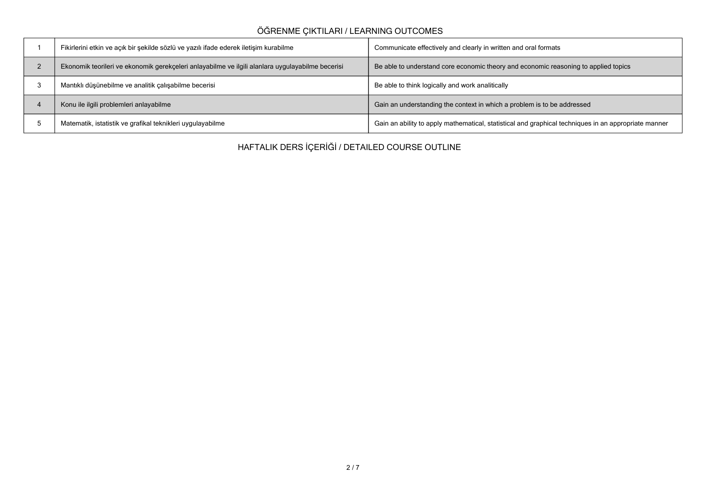## **ÖĞRENME ÇIKTILARI / LEARNING OUTCOMES**

| Fikirlerini etkin ve açık bir şekilde sözlü ve yazılı ifade ederek iletişim kurabilme            | Communicate effectively and clearly in written and oral formats                                      |
|--------------------------------------------------------------------------------------------------|------------------------------------------------------------------------------------------------------|
| Ekonomik teorileri ve ekonomik gerekçeleri anlayabilme ve ilgili alanlara uygulayabilme becerisi | Be able to understand core economic theory and economic reasoning to applied topics                  |
| Mantıklı düşünebilme ve analitik çalışabilme becerisi                                            | Be able to think logically and work analitically                                                     |
| Konu ile ilgili problemleri anlayabilme                                                          | Gain an understanding the context in which a problem is to be addressed                              |
| Matematik, istatistik ve grafikal teknikleri uygulayabilme                                       | Gain an ability to apply mathematical, statistical and graphical techniques in an appropriate manner |

**HAFTALIK DERS İÇERİĞİ / DETAILED COURSE OUTLINE**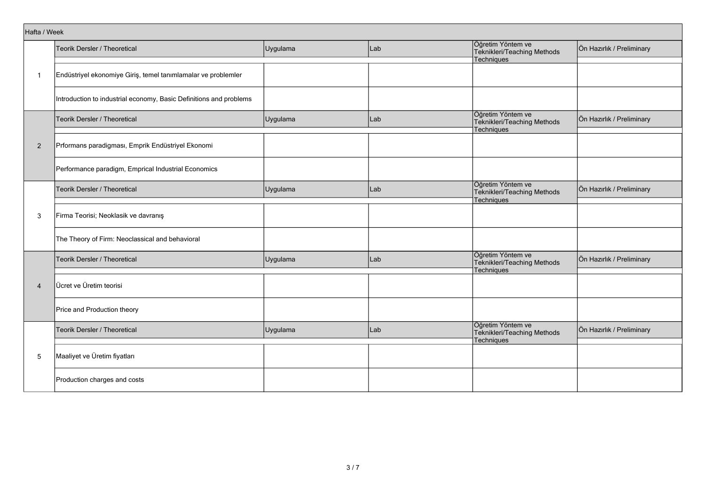|                | Hafta / Week                                                       |          |     |                                                                |                           |  |  |  |  |
|----------------|--------------------------------------------------------------------|----------|-----|----------------------------------------------------------------|---------------------------|--|--|--|--|
|                | Teorik Dersler / Theoretical                                       | Uygulama | Lab | Öğretim Yöntem ve<br>Teknikleri/Teaching Methods<br>Techniques | Ön Hazırlık / Preliminary |  |  |  |  |
| $\overline{1}$ | Endüstriyel ekonomiye Giriş, temel tanımlamalar ve problemler      |          |     |                                                                |                           |  |  |  |  |
|                | Introduction to industrial economy, Basic Definitions and problems |          |     |                                                                |                           |  |  |  |  |
|                | Teorik Dersler / Theoretical                                       | Uygulama | Lab | Öğretim Yöntem ve<br>Teknikleri/Teaching Methods<br>Techniques | Ön Hazırlık / Preliminary |  |  |  |  |
| $\overline{2}$ | Prformans paradigması, Emprik Endüstriyel Ekonomi                  |          |     |                                                                |                           |  |  |  |  |
|                | Performance paradigm, Emprical Industrial Economics                |          |     |                                                                |                           |  |  |  |  |
|                | Teorik Dersler / Theoretical                                       | Uygulama | Lab | Öğretim Yöntem ve<br>Teknikleri/Teaching Methods<br>Techniques | Ön Hazırlık / Preliminary |  |  |  |  |
| 3              | Firma Teorisi; Neoklasik ve davranış                               |          |     |                                                                |                           |  |  |  |  |
|                | The Theory of Firm: Neoclassical and behavioral                    |          |     |                                                                |                           |  |  |  |  |
|                | Teorik Dersler / Theoretical                                       | Uygulama | Lab | Öğretim Yöntem ve<br>Teknikleri/Teaching Methods<br>Techniques | Ön Hazırlık / Preliminary |  |  |  |  |
| $\overline{4}$ | Ücret ve Üretim teorisi                                            |          |     |                                                                |                           |  |  |  |  |
|                | Price and Production theory                                        |          |     |                                                                |                           |  |  |  |  |
|                | Teorik Dersler / Theoretical                                       | Uygulama | Lab | Öğretim Yöntem ve<br>Teknikleri/Teaching Methods<br>Techniques | Ön Hazırlık / Preliminary |  |  |  |  |
| 5              | Maaliyet ve Üretim fiyatları                                       |          |     |                                                                |                           |  |  |  |  |
|                | Production charges and costs                                       |          |     |                                                                |                           |  |  |  |  |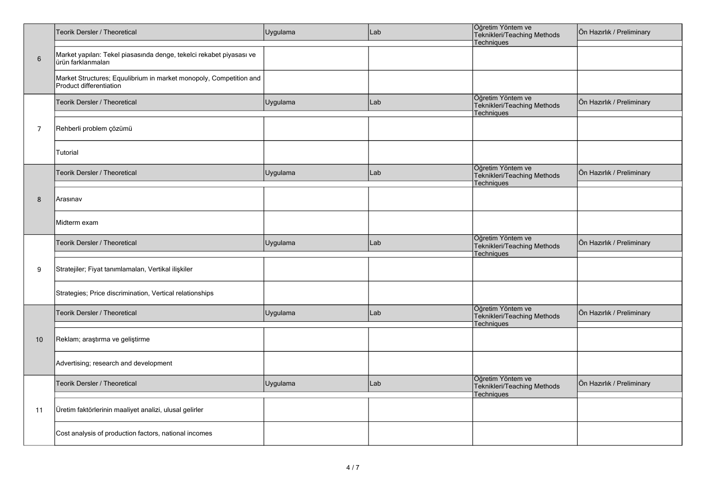|                | Teorik Dersler / Theoretical                                                                  | Uygulama | Lab | Öğretim Yöntem ve<br>Teknikleri/Teaching Methods<br>Techniques        | Ön Hazırlık / Preliminary |
|----------------|-----------------------------------------------------------------------------------------------|----------|-----|-----------------------------------------------------------------------|---------------------------|
| $\,6\,$        | Market yapıları: Tekel piasasında denge, tekelci rekabet piyasası ve<br>ürün farklanmaları    |          |     |                                                                       |                           |
|                | Market Structures; Equulibrium in market monopoly, Competition and<br>Product differentiation |          |     |                                                                       |                           |
|                | Teorik Dersler / Theoretical                                                                  | Uygulama | Lab | Öğretim Yöntem ve<br>Teknikleri/Teaching Methods<br>Techniques        | Ön Hazırlık / Preliminary |
| $\overline{7}$ | Rehberli problem çözümü                                                                       |          |     |                                                                       |                           |
|                | Tutorial                                                                                      |          |     |                                                                       |                           |
|                | Teorik Dersler / Theoretical                                                                  | Uygulama | Lab | Öğretim Yöntem ve<br>Teknikleri/Teaching Methods<br>Techniques        | Ön Hazırlık / Preliminary |
| 8              | Arasınav                                                                                      |          |     |                                                                       |                           |
|                | Midterm exam                                                                                  |          |     |                                                                       |                           |
|                | Teorik Dersler / Theoretical                                                                  | Uygulama | Lab | Öğretim Yöntem ve<br>Teknikleri/Teaching Methods<br><b>Techniques</b> | Ön Hazırlık / Preliminary |
| 9              | Stratejiler; Fiyat tanımlamaları, Vertikal ilişkiler                                          |          |     |                                                                       |                           |
|                | Strategies; Price discrimination, Vertical relationships                                      |          |     |                                                                       |                           |
|                | Teorik Dersler / Theoretical                                                                  | Uygulama | Lab | Öğretim Yöntem ve<br>Teknikleri/Teaching Methods<br>Techniques        | Ön Hazırlık / Preliminary |
| 10             | Reklam; araştırma ve geliştirme                                                               |          |     |                                                                       |                           |
|                | Advertising; research and development                                                         |          |     |                                                                       |                           |
|                | Teorik Dersler / Theoretical                                                                  | Uygulama | Lab | Öğretim Yöntem ve<br>Teknikleri/Teaching Methods<br>Techniques        | Ön Hazırlık / Preliminary |
| 11             | Üretim faktörlerinin maaliyet analizi, ulusal gelirler                                        |          |     |                                                                       |                           |
|                | Cost analysis of production factors, national incomes                                         |          |     |                                                                       |                           |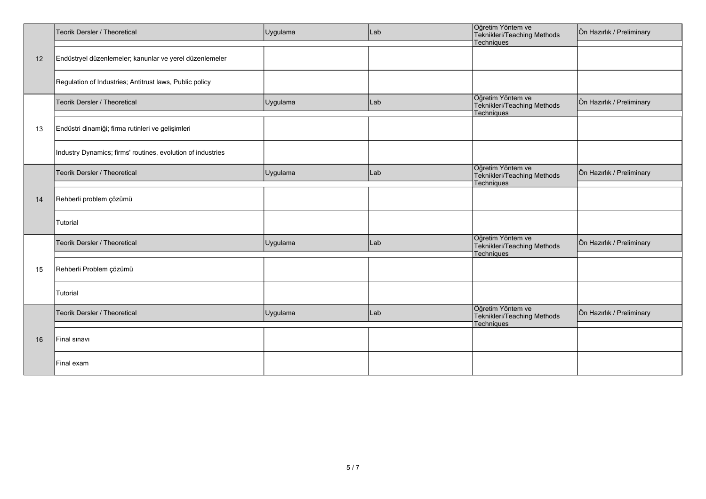|    | Teorik Dersler / Theoretical                                | Uygulama | Lab | Öğretim Yöntem ve<br>Teknikleri/Teaching Methods               | Ön Hazırlık / Preliminary |
|----|-------------------------------------------------------------|----------|-----|----------------------------------------------------------------|---------------------------|
|    |                                                             |          |     | Techniques                                                     |                           |
| 12 | Endüstryel düzenlemeler; kanunlar ve yerel düzenlemeler     |          |     |                                                                |                           |
|    | Regulation of Industries; Antitrust laws, Public policy     |          |     |                                                                |                           |
|    | Teorik Dersler / Theoretical                                | Uygulama | Lab | Öğretim Yöntem ve<br>Teknikleri/Teaching Methods<br>Techniques | Ön Hazırlık / Preliminary |
| 13 | Endüstri dinamiği; firma rutinleri ve gelişimleri           |          |     |                                                                |                           |
|    | Industry Dynamics; firms' routines, evolution of industries |          |     |                                                                |                           |
|    | Teorik Dersler / Theoretical                                | Uygulama | Lab | Öğretim Yöntem ve<br>Teknikleri/Teaching Methods<br>Techniques | Ön Hazırlık / Preliminary |
| 14 | Rehberli problem çözümü                                     |          |     |                                                                |                           |
|    | Tutorial                                                    |          |     |                                                                |                           |
|    | Teorik Dersler / Theoretical                                | Uygulama | Lab | Öğretim Yöntem ve<br>Teknikleri/Teaching Methods<br>Techniques | Ön Hazırlık / Preliminary |
| 15 | Rehberli Problem çözümü                                     |          |     |                                                                |                           |
|    | Tutorial                                                    |          |     |                                                                |                           |
|    | Teorik Dersler / Theoretical                                | Uygulama | Lab | Öğretim Yöntem ve<br>Teknikleri/Teaching Methods<br>Techniques | Ön Hazırlık / Preliminary |
| 16 | Final sinavi                                                |          |     |                                                                |                           |
|    | Final exam                                                  |          |     |                                                                |                           |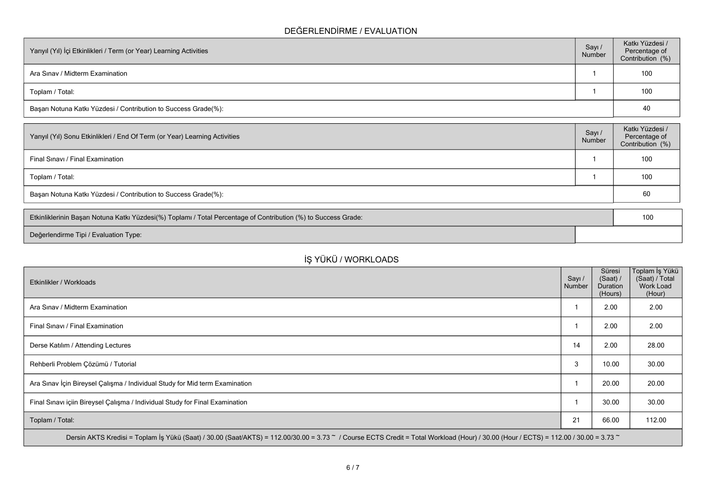### **DEĞERLENDİRME / EVALUATION**

| Yarıyıl (Yıl) İçi Etkinlikleri / Term (or Year) Learning Activities<br>Number |  | Katkı Yüzdesi /<br>Percentage of<br>Contribution (%) |
|-------------------------------------------------------------------------------|--|------------------------------------------------------|
| Ara Sinav / Midterm Examination                                               |  | 100                                                  |
| Toplam / Total:                                                               |  | 100                                                  |
| Başarı Notuna Katkı Yüzdesi / Contribution to Success Grade(%):               |  | 40                                                   |

| Sayı/<br>Number                                                 | Katkı Yüzdesi /<br>Percentage of<br>Contribution (%) |  |  |  |
|-----------------------------------------------------------------|------------------------------------------------------|--|--|--|
|                                                                 | 100                                                  |  |  |  |
|                                                                 | 100                                                  |  |  |  |
| Başarı Notuna Katkı Yüzdesi / Contribution to Success Grade(%): |                                                      |  |  |  |
|                                                                 |                                                      |  |  |  |

| Etkinliklerinin Başarı Notuna Katkı Yüzdesi(%) Toplamı / Total Percentage of Contribution (%) to Success Grade: |  |  |
|-----------------------------------------------------------------------------------------------------------------|--|--|
| Değerlendirme Tipi / Evaluation Type:                                                                           |  |  |

# **İŞ YÜKÜ / WORKLOADS**

| Etkinlikler / Workloads                                                                                                                                                              | Sayı /<br>Number | Süresi<br>(Saat) /<br>Duration<br>(Hours) | Toplam İş Yükü<br>(Saat) / Total<br>Work Load<br>(Hour) |  |  |  |  |
|--------------------------------------------------------------------------------------------------------------------------------------------------------------------------------------|------------------|-------------------------------------------|---------------------------------------------------------|--|--|--|--|
| Ara Sinav / Midterm Examination                                                                                                                                                      |                  | 2.00                                      | 2.00                                                    |  |  |  |  |
| Final Sinavi / Final Examination                                                                                                                                                     |                  | 2.00                                      | 2.00                                                    |  |  |  |  |
| Derse Katılım / Attending Lectures                                                                                                                                                   | 14               | 2.00                                      | 28.00                                                   |  |  |  |  |
| Rehberli Problem Çözümü / Tutorial                                                                                                                                                   | 3                | 10.00                                     | 30.00                                                   |  |  |  |  |
| Ara Sınav İçin Bireysel Çalışma / Individual Study for Mid term Examination                                                                                                          |                  | 20.00                                     | 20.00                                                   |  |  |  |  |
| Final Sınavı içiin Bireysel Çalışma / Individual Study for Final Examination                                                                                                         |                  | 30.00                                     | 30.00                                                   |  |  |  |  |
| Toplam / Total:                                                                                                                                                                      | 21               | 66.00                                     | 112.00                                                  |  |  |  |  |
| Dersin AKTS Kredisi = Toplam İş Yükü (Saat) / 30.00 (Saat/AKTS) = 112.00/30.00 = 3.73 ~ / Course ECTS Credit = Total Workload (Hour) / 30.00 (Hour / ECTS) = 112.00 / 30.00 = 3.73 ~ |                  |                                           |                                                         |  |  |  |  |